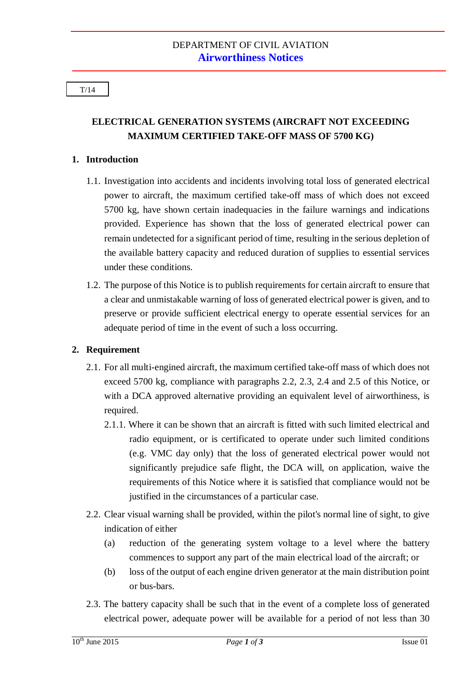#### T/14

# **ELECTRICAL GENERATION SYSTEMS (AIRCRAFT NOT EXCEEDING MAXIMUM CERTIFIED TAKE-OFF MASS OF 5700 KG)**

### **1. Introduction**

- 1.1. Investigation into accidents and incidents involving total loss of generated electrical power to aircraft, the maximum certified take-off mass of which does not exceed 5700 kg, have shown certain inadequacies in the failure warnings and indications provided. Experience has shown that the loss of generated electrical power can remain undetected for a significant period of time, resulting in the serious depletion of the available battery capacity and reduced duration of supplies to essential services under these conditions.
- 1.2. The purpose of this Notice is to publish requirements for certain aircraft to ensure that a clear and unmistakable warning of loss of generated electrical power is given, and to preserve or provide sufficient electrical energy to operate essential services for an adequate period of time in the event of such a loss occurring.

## **2. Requirement**

- 2.1. For all multi-engined aircraft, the maximum certified take-off mass of which does not exceed 5700 kg, compliance with paragraphs 2.2, 2.3, 2.4 and 2.5 of this Notice, or with a DCA approved alternative providing an equivalent level of airworthiness, is required.
	- 2.1.1. Where it can be shown that an aircraft is fitted with such limited electrical and radio equipment, or is certificated to operate under such limited conditions (e.g. VMC day only) that the loss of generated electrical power would not significantly prejudice safe flight, the DCA will, on application, waive the requirements of this Notice where it is satisfied that compliance would not be justified in the circumstances of a particular case.
- 2.2. Clear visual warning shall be provided, within the pilot's normal line of sight, to give indication of either
	- (a) reduction of the generating system voltage to a level where the battery commences to support any part of the main electrical load of the aircraft; or
	- (b) loss of the output of each engine driven generator at the main distribution point or bus-bars.
- 2.3. The battery capacity shall be such that in the event of a complete loss of generated electrical power, adequate power will be available for a period of not less than 30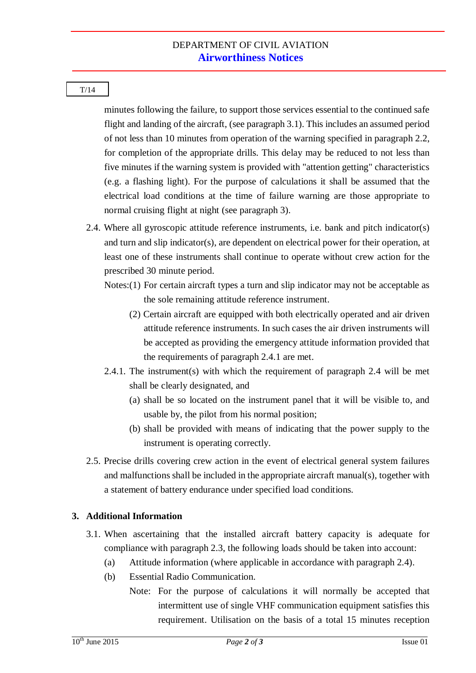#### T/14

minutes following the failure, to support those services essential to the continued safe flight and landing of the aircraft, (see paragraph 3.1). This includes an assumed period of not less than 10 minutes from operation of the warning specified in paragraph 2.2, for completion of the appropriate drills. This delay may be reduced to not less than five minutes if the warning system is provided with "attention getting" characteristics (e.g. a flashing light). For the purpose of calculations it shall be assumed that the electrical load conditions at the time of failure warning are those appropriate to normal cruising flight at night (see paragraph 3).

- 2.4. Where all gyroscopic attitude reference instruments, i.e. bank and pitch indicator(s) and turn and slip indicator(s), are dependent on electrical power for their operation, at least one of these instruments shall continue to operate without crew action for the prescribed 30 minute period.
	- Notes:(1) For certain aircraft types a turn and slip indicator may not be acceptable as the sole remaining attitude reference instrument.
		- (2) Certain aircraft are equipped with both electrically operated and air driven attitude reference instruments. In such cases the air driven instruments will be accepted as providing the emergency attitude information provided that the requirements of paragraph 2.4.1 are met.
	- 2.4.1. The instrument(s) with which the requirement of paragraph 2.4 will be met shall be clearly designated, and
		- (a) shall be so located on the instrument panel that it will be visible to, and usable by, the pilot from his normal position;
		- (b) shall be provided with means of indicating that the power supply to the instrument is operating correctly.
- 2.5. Precise drills covering crew action in the event of electrical general system failures and malfunctions shall be included in the appropriate aircraft manual(s), together with a statement of battery endurance under specified load conditions.

## **3. Additional Information**

- 3.1. When ascertaining that the installed aircraft battery capacity is adequate for compliance with paragraph 2.3, the following loads should be taken into account:
	- (a) Attitude information (where applicable in accordance with paragraph 2.4).
	- (b) Essential Radio Communication.
		- Note: For the purpose of calculations it will normally be accepted that intermittent use of single VHF communication equipment satisfies this requirement. Utilisation on the basis of a total 15 minutes reception